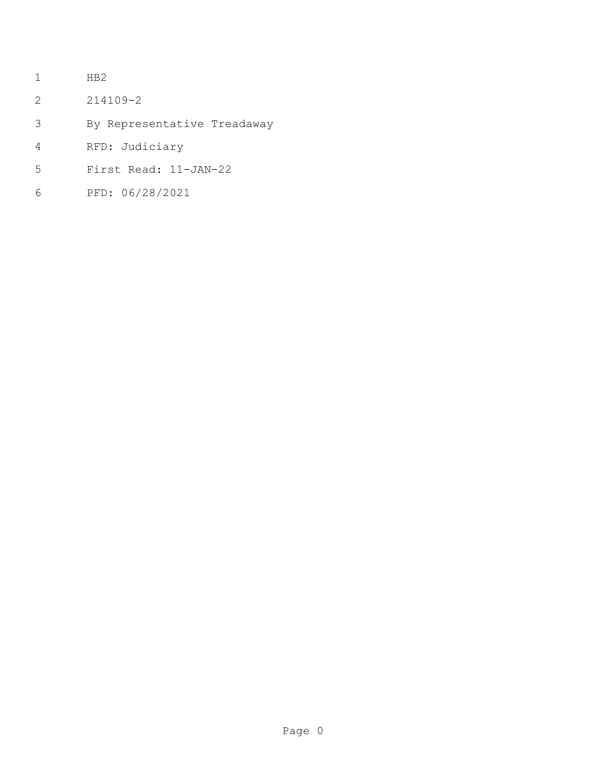- HB2
- 214109-2
- By Representative Treadaway
- RFD: Judiciary
- First Read: 11-JAN-22
- PFD: 06/28/2021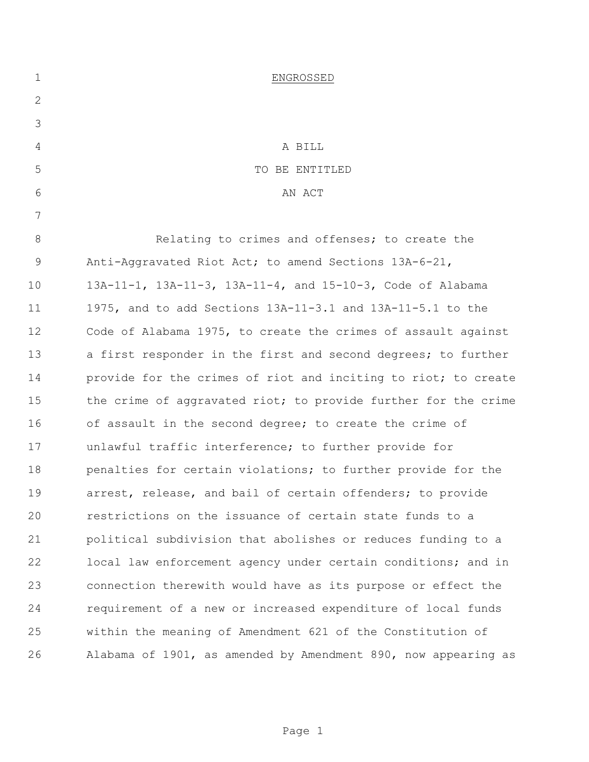| $\mathbf 1$  | ENGROSSED                                                      |
|--------------|----------------------------------------------------------------|
| $\mathbf{2}$ |                                                                |
| 3            |                                                                |
| 4            | A BILL                                                         |
| 5            | TO BE ENTITLED                                                 |
| 6            | AN ACT                                                         |
| 7            |                                                                |
| 8            | Relating to crimes and offenses; to create the                 |
| $\mathsf 9$  | Anti-Aggravated Riot Act; to amend Sections 13A-6-21,          |
| 10           | 13A-11-1, 13A-11-3, 13A-11-4, and 15-10-3, Code of Alabama     |
| 11           | 1975, and to add Sections $13A-11-3.1$ and $13A-11-5.1$ to the |
| 12           | Code of Alabama 1975, to create the crimes of assault against  |
| 13           | a first responder in the first and second degrees; to further  |
| 14           | provide for the crimes of riot and inciting to riot; to create |
| 15           | the crime of aggravated riot; to provide further for the crime |
| 16           | of assault in the second degree; to create the crime of        |
| 17           | unlawful traffic interference; to further provide for          |
| 18           | penalties for certain violations; to further provide for the   |
| 19           | arrest, release, and bail of certain offenders; to provide     |
| 20           | restrictions on the issuance of certain state funds to a       |
| 21           | political subdivision that abolishes or reduces funding to a   |
| 22           | local law enforcement agency under certain conditions; and in  |
| 23           | connection therewith would have as its purpose or effect the   |
| 24           | requirement of a new or increased expenditure of local funds   |
| 25           | within the meaning of Amendment 621 of the Constitution of     |
| 26           | Alabama of 1901, as amended by Amendment 890, now appearing as |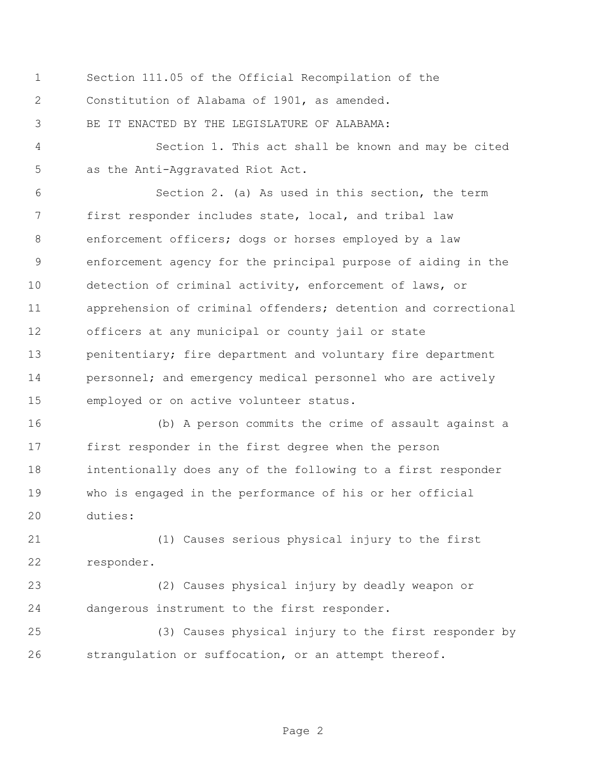Section 111.05 of the Official Recompilation of the Constitution of Alabama of 1901, as amended.

BE IT ENACTED BY THE LEGISLATURE OF ALABAMA:

 Section 1. This act shall be known and may be cited as the Anti-Aggravated Riot Act.

 Section 2. (a) As used in this section, the term first responder includes state, local, and tribal law enforcement officers; dogs or horses employed by a law enforcement agency for the principal purpose of aiding in the detection of criminal activity, enforcement of laws, or apprehension of criminal offenders; detention and correctional officers at any municipal or county jail or state 13 penitentiary; fire department and voluntary fire department 14 personnel; and emergency medical personnel who are actively employed or on active volunteer status.

 (b) A person commits the crime of assault against a first responder in the first degree when the person intentionally does any of the following to a first responder who is engaged in the performance of his or her official duties:

 (1) Causes serious physical injury to the first responder.

 (2) Causes physical injury by deadly weapon or dangerous instrument to the first responder.

 (3) Causes physical injury to the first responder by strangulation or suffocation, or an attempt thereof.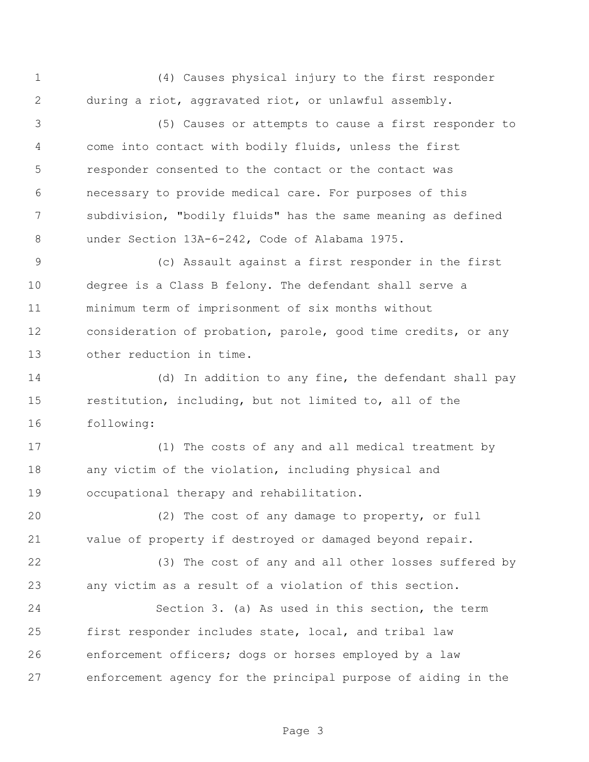(4) Causes physical injury to the first responder during a riot, aggravated riot, or unlawful assembly.

 (5) Causes or attempts to cause a first responder to come into contact with bodily fluids, unless the first responder consented to the contact or the contact was necessary to provide medical care. For purposes of this subdivision, "bodily fluids" has the same meaning as defined under Section 13A-6-242, Code of Alabama 1975.

 (c) Assault against a first responder in the first degree is a Class B felony. The defendant shall serve a minimum term of imprisonment of six months without consideration of probation, parole, good time credits, or any other reduction in time.

 (d) In addition to any fine, the defendant shall pay restitution, including, but not limited to, all of the following:

 (1) The costs of any and all medical treatment by any victim of the violation, including physical and occupational therapy and rehabilitation.

 (2) The cost of any damage to property, or full value of property if destroyed or damaged beyond repair.

 (3) The cost of any and all other losses suffered by any victim as a result of a violation of this section.

 Section 3. (a) As used in this section, the term first responder includes state, local, and tribal law enforcement officers; dogs or horses employed by a law enforcement agency for the principal purpose of aiding in the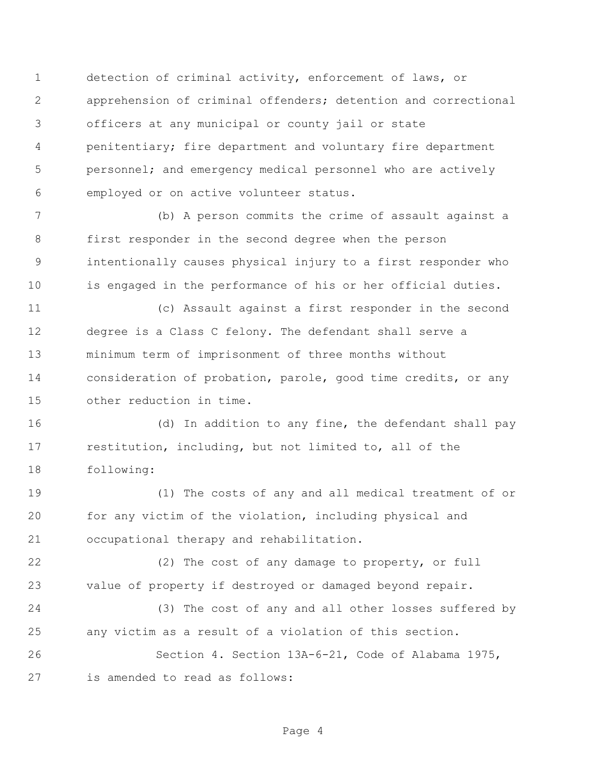detection of criminal activity, enforcement of laws, or apprehension of criminal offenders; detention and correctional officers at any municipal or county jail or state penitentiary; fire department and voluntary fire department personnel; and emergency medical personnel who are actively employed or on active volunteer status.

 (b) A person commits the crime of assault against a first responder in the second degree when the person intentionally causes physical injury to a first responder who is engaged in the performance of his or her official duties.

 (c) Assault against a first responder in the second degree is a Class C felony. The defendant shall serve a minimum term of imprisonment of three months without consideration of probation, parole, good time credits, or any other reduction in time.

 (d) In addition to any fine, the defendant shall pay restitution, including, but not limited to, all of the following:

 (1) The costs of any and all medical treatment of or for any victim of the violation, including physical and occupational therapy and rehabilitation.

 (2) The cost of any damage to property, or full value of property if destroyed or damaged beyond repair.

 (3) The cost of any and all other losses suffered by any victim as a result of a violation of this section.

 Section 4. Section 13A-6-21, Code of Alabama 1975, is amended to read as follows: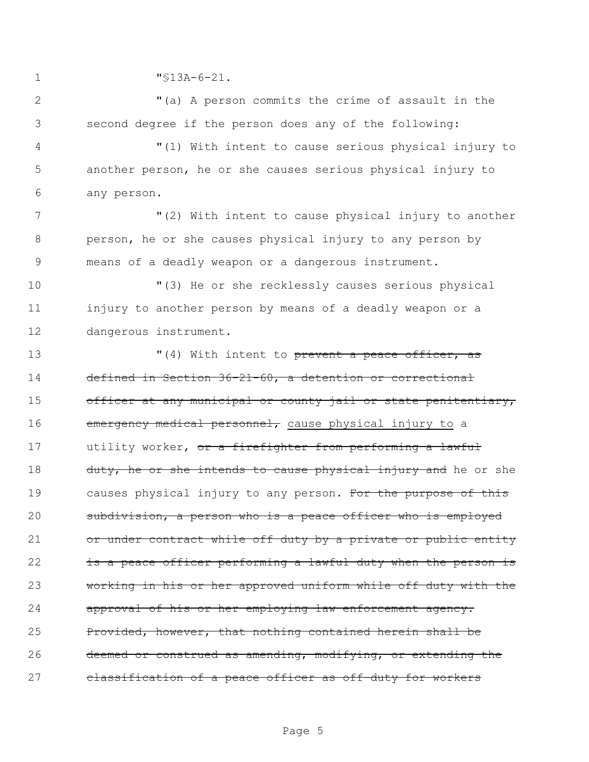1 "§13A-6-21.

2 "(a) A person commits the crime of assault in the 3 second degree if the person does any of the following:

4 "(1) With intent to cause serious physical injury to 5 another person, he or she causes serious physical injury to 6 any person.

7 The Mullett VI (2) With intent to cause physical injury to another 8 person, he or she causes physical injury to any person by 9 means of a deadly weapon or a dangerous instrument.

10 "(3) He or she recklessly causes serious physical 11 injury to another person by means of a deadly weapon or a 12 dangerous instrument.

13  $(4)$  With intent to prevent a peace officer, as 14 defined in Section 36-21-60, a detention or correctional 15 officer at any municipal or county jail or state penitentiary, 16 emergency medical personnel, cause physical injury to a 17 utility worker, or a firefighter from performing a lawful 18 duty, he or she intends to cause physical injury and he or she 19 causes physical injury to any person. For the purpose of this 20 subdivision, a person who is a peace officer who is employed 21 or under contract while off duty by a private or public entity 22 is a peace officer performing a lawful duty when the person is 23 working in his or her approved uniform while off duty with the 24 approval of his or her employing law enforcement agency. 25 Provided, however, that nothing contained herein shall be 26 deemed or construed as amending, modifying, or extending the 27 classification of a peace officer as off-duty for workers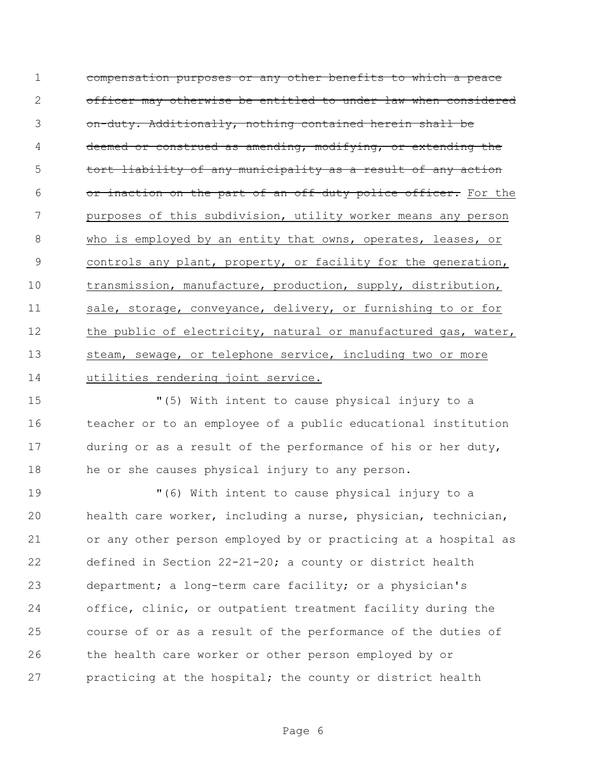compensation purposes or any other benefits to which a peace officer may otherwise be entitled to under law when considered on-duty. Additionally, nothing contained herein shall be deemed or construed as amending, modifying, or extending the tort liability of any municipality as a result of any action 6 or inaction on the part of an off-duty police officer. For the purposes of this subdivision, utility worker means any person who is employed by an entity that owns, operates, leases, or controls any plant, property, or facility for the generation, transmission, manufacture, production, supply, distribution, 11 sale, storage, conveyance, delivery, or furnishing to or for 12 the public of electricity, natural or manufactured gas, water, 13 steam, sewage, or telephone service, including two or more utilities rendering joint service.

 "(5) With intent to cause physical injury to a teacher or to an employee of a public educational institution during or as a result of the performance of his or her duty, he or she causes physical injury to any person.

 "(6) With intent to cause physical injury to a health care worker, including a nurse, physician, technician, or any other person employed by or practicing at a hospital as defined in Section 22-21-20; a county or district health department; a long-term care facility; or a physician's office, clinic, or outpatient treatment facility during the course of or as a result of the performance of the duties of the health care worker or other person employed by or practicing at the hospital; the county or district health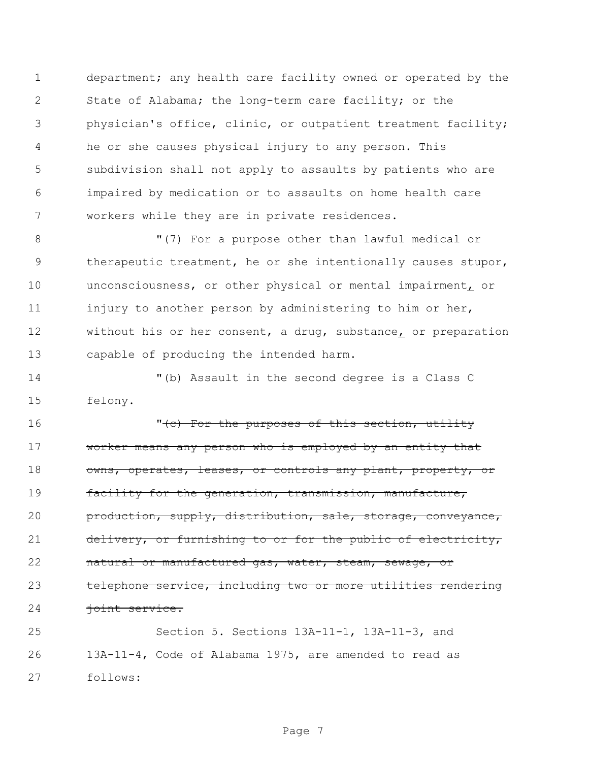department; any health care facility owned or operated by the State of Alabama; the long-term care facility; or the physician's office, clinic, or outpatient treatment facility; he or she causes physical injury to any person. This subdivision shall not apply to assaults by patients who are impaired by medication or to assaults on home health care workers while they are in private residences.

8 T(7) For a purpose other than lawful medical or therapeutic treatment, he or she intentionally causes stupor, unconsciousness, or other physical or mental impairment, or 11 injury to another person by administering to him or her, without his or her consent, a drug, substance, or preparation capable of producing the intended harm.

 "(b) Assault in the second degree is a Class C felony.

16 The Porthe purposes of this section, utility 17 worker means any person who is employed by an entity that 18 owns, operates, leases, or controls any plant, property, or facility for the generation, transmission, manufacture, production, supply, distribution, sale, storage, conveyance, 21 delivery, or furnishing to or for the public of electricity, 22 natural or manufactured gas, water, steam, sewage, or telephone service, including two or more utilities rendering 24 joint service.

 Section 5. Sections 13A-11-1, 13A-11-3, and 13A-11-4, Code of Alabama 1975, are amended to read as follows: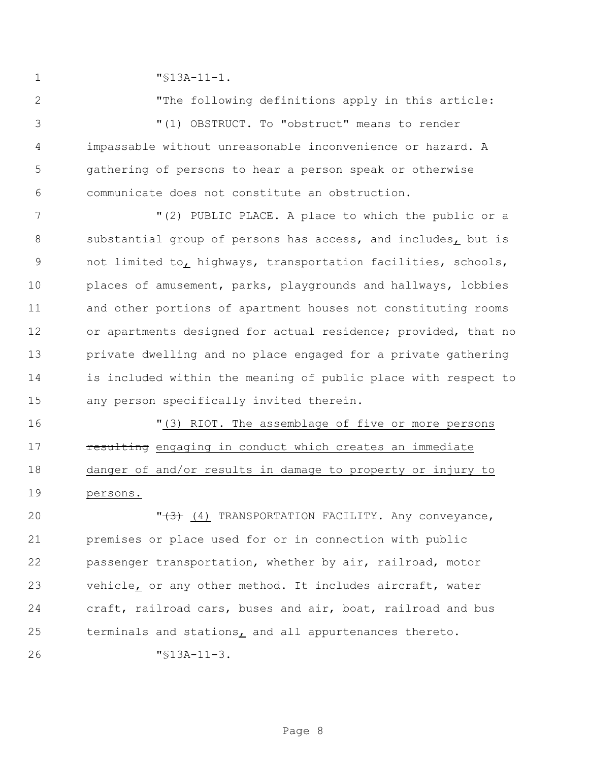"§13A-11-1.

2 The following definitions apply in this article: "(1) OBSTRUCT. To "obstruct" means to render impassable without unreasonable inconvenience or hazard. A gathering of persons to hear a person speak or otherwise communicate does not constitute an obstruction.

 "(2) PUBLIC PLACE. A place to which the public or a substantial group of persons has access, and includes, but is not limited to, highways, transportation facilities, schools, places of amusement, parks, playgrounds and hallways, lobbies and other portions of apartment houses not constituting rooms or apartments designed for actual residence; provided, that no private dwelling and no place engaged for a private gathering is included within the meaning of public place with respect to any person specifically invited therein.

 "(3) RIOT. The assemblage of five or more persons **resulting** engaging in conduct which creates an immediate 18 danger of and/or results in damage to property or injury to persons.

**"**(3) (4) TRANSPORTATION FACILITY. Any conveyance, premises or place used for or in connection with public passenger transportation, whether by air, railroad, motor vehicle, or any other method. It includes aircraft, water craft, railroad cars, buses and air, boat, railroad and bus terminals and stations, and all appurtenances thereto.

"§13A-11-3.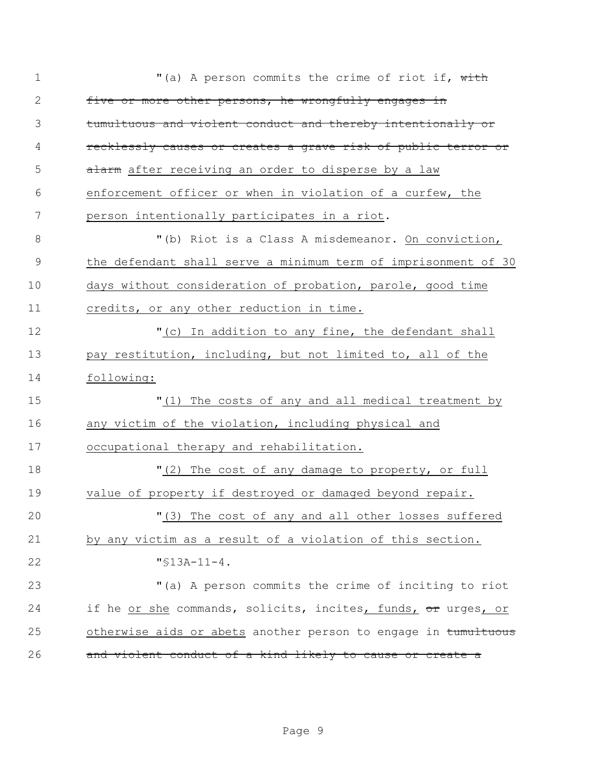| $\mathbf 1$  | "(a) A person commits the crime of riot if, with               |  |  |  |
|--------------|----------------------------------------------------------------|--|--|--|
| $\mathbf{2}$ | five or more other persons, he wrongfully engages in           |  |  |  |
| 3            | tumultuous and violent conduct and thereby intentionally or    |  |  |  |
| 4            | recklessly causes or creates a grave risk of public terror or  |  |  |  |
| 5            | alarm after receiving an order to disperse by a law            |  |  |  |
| 6            | enforcement officer or when in violation of a curfew, the      |  |  |  |
| 7            | person intentionally participates in a riot.                   |  |  |  |
| 8            | "(b) Riot is a Class A misdemeanor. On conviction,             |  |  |  |
| 9            | the defendant shall serve a minimum term of imprisonment of 30 |  |  |  |
| 10           | days without consideration of probation, parole, good time     |  |  |  |
| 11           | credits, or any other reduction in time.                       |  |  |  |
| 12           | "(c) In addition to any fine, the defendant shall              |  |  |  |
| 13           | pay restitution, including, but not limited to, all of the     |  |  |  |
| 14           | following:                                                     |  |  |  |
| 15           | "(1) The costs of any and all medical treatment by             |  |  |  |
| 16           | any victim of the violation, including physical and            |  |  |  |
| 17           | occupational therapy and rehabilitation.                       |  |  |  |
| 18           | "(2) The cost of any damage to property, or full               |  |  |  |
| 19           | value of property if destroyed or damaged beyond repair.       |  |  |  |
| 20           | "(3) The cost of any and all other losses suffered             |  |  |  |
| 21           | by any victim as a result of a violation of this section.      |  |  |  |
| 22           | $"$ \$13A-11-4.                                                |  |  |  |
| 23           | "(a) A person commits the crime of inciting to riot            |  |  |  |
| 24           | if he or she commands, solicits, incites, funds, or urges, or  |  |  |  |
| 25           | otherwise aids or abets another person to engage in tumultuous |  |  |  |
| 26           | and violent conduct of a kind likely to cause or create a      |  |  |  |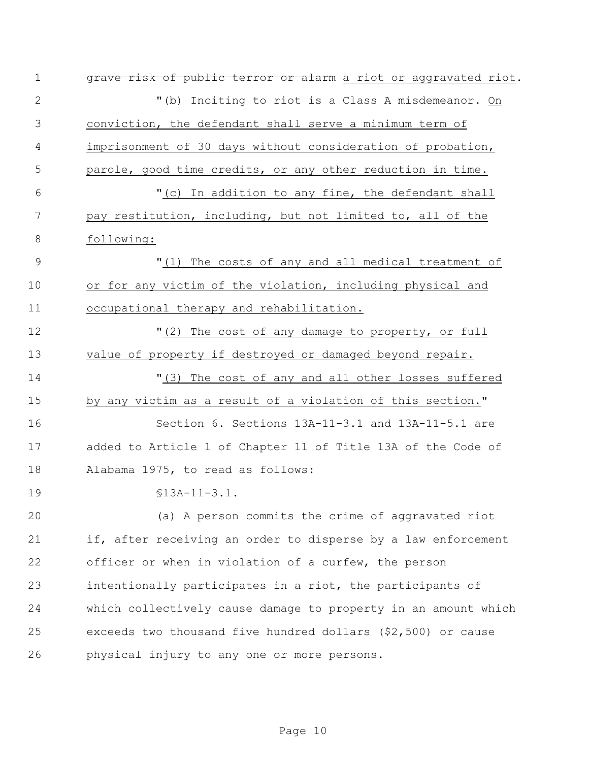| $\mathbf 1$    | grave risk of public terror or alarm a riot or aggravated riot. |  |  |  |
|----------------|-----------------------------------------------------------------|--|--|--|
| $\mathbf{2}$   | "(b) Inciting to riot is a Class A misdemeanor. On              |  |  |  |
| 3              | conviction, the defendant shall serve a minimum term of         |  |  |  |
| 4              | imprisonment of 30 days without consideration of probation,     |  |  |  |
| 5              | parole, good time credits, or any other reduction in time.      |  |  |  |
| 6              | "(c) In addition to any fine, the defendant shall               |  |  |  |
| 7              | pay restitution, including, but not limited to, all of the      |  |  |  |
| 8              | following:                                                      |  |  |  |
| $\overline{9}$ | "(1) The costs of any and all medical treatment of              |  |  |  |
| 10             | or for any victim of the violation, including physical and      |  |  |  |
| 11             | occupational therapy and rehabilitation.                        |  |  |  |
| 12             | "(2) The cost of any damage to property, or full                |  |  |  |
| 13             | value of property if destroyed or damaged beyond repair.        |  |  |  |
| 14             | "(3) The cost of any and all other losses suffered              |  |  |  |
| 15             | by any victim as a result of a violation of this section."      |  |  |  |
| 16             | Section 6. Sections $13A-11-3.1$ and $13A-11-5.1$ are           |  |  |  |
| 17             | added to Article 1 of Chapter 11 of Title 13A of the Code of    |  |  |  |
| 18             | Alabama 1975, to read as follows:                               |  |  |  |
| 19             | $$13A-11-3.1.$                                                  |  |  |  |
| 20             | (a) A person commits the crime of aggravated riot               |  |  |  |
| 21             | if, after receiving an order to disperse by a law enforcement   |  |  |  |
| 22             | officer or when in violation of a curfew, the person            |  |  |  |
| 23             | intentionally participates in a riot, the participants of       |  |  |  |
| 24             | which collectively cause damage to property in an amount which  |  |  |  |
| 25             | exceeds two thousand five hundred dollars (\$2,500) or cause    |  |  |  |
| 26             | physical injury to any one or more persons.                     |  |  |  |
|                |                                                                 |  |  |  |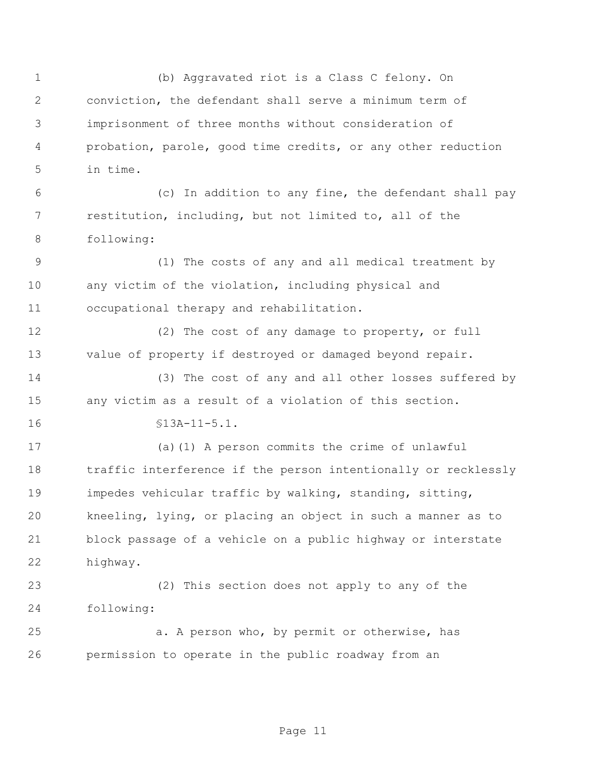(b) Aggravated riot is a Class C felony. On conviction, the defendant shall serve a minimum term of imprisonment of three months without consideration of probation, parole, good time credits, or any other reduction in time. (c) In addition to any fine, the defendant shall pay restitution, including, but not limited to, all of the following: (1) The costs of any and all medical treatment by any victim of the violation, including physical and occupational therapy and rehabilitation. (2) The cost of any damage to property, or full value of property if destroyed or damaged beyond repair. (3) The cost of any and all other losses suffered by any victim as a result of a violation of this section. §13A-11-5.1. (a)(1) A person commits the crime of unlawful traffic interference if the person intentionally or recklessly impedes vehicular traffic by walking, standing, sitting, kneeling, lying, or placing an object in such a manner as to block passage of a vehicle on a public highway or interstate highway. (2) This section does not apply to any of the following: a. A person who, by permit or otherwise, has permission to operate in the public roadway from an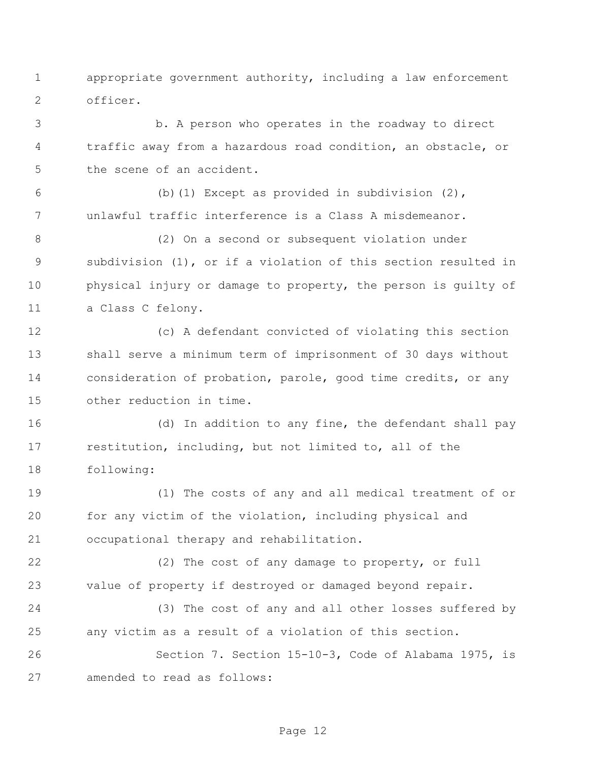appropriate government authority, including a law enforcement officer.

 b. A person who operates in the roadway to direct traffic away from a hazardous road condition, an obstacle, or the scene of an accident.

 (b)(1) Except as provided in subdivision (2), unlawful traffic interference is a Class A misdemeanor.

 (2) On a second or subsequent violation under subdivision (1), or if a violation of this section resulted in physical injury or damage to property, the person is guilty of a Class C felony.

 (c) A defendant convicted of violating this section shall serve a minimum term of imprisonment of 30 days without consideration of probation, parole, good time credits, or any other reduction in time.

 (d) In addition to any fine, the defendant shall pay restitution, including, but not limited to, all of the following:

 (1) The costs of any and all medical treatment of or for any victim of the violation, including physical and occupational therapy and rehabilitation.

 (2) The cost of any damage to property, or full value of property if destroyed or damaged beyond repair.

 (3) The cost of any and all other losses suffered by any victim as a result of a violation of this section.

 Section 7. Section 15-10-3, Code of Alabama 1975, is amended to read as follows: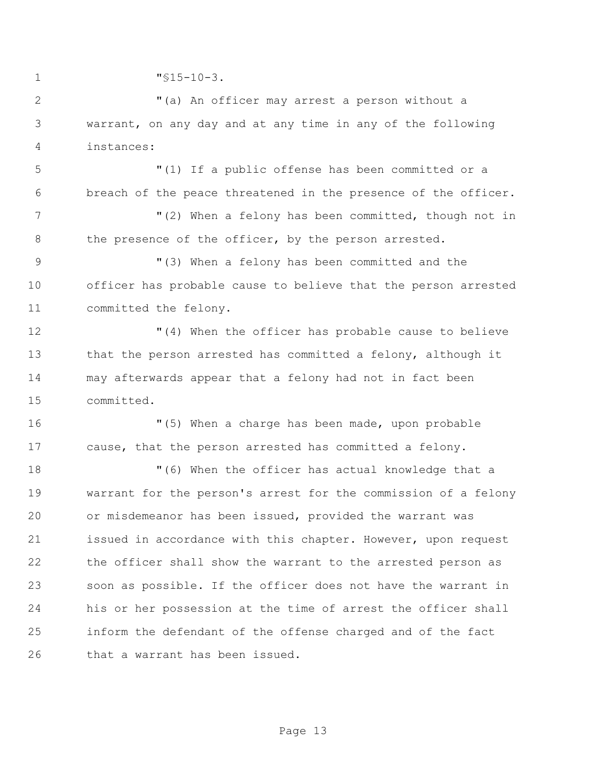"§15-10-3. "(a) An officer may arrest a person without a warrant, on any day and at any time in any of the following instances: "(1) If a public offense has been committed or a breach of the peace threatened in the presence of the officer. "(2) When a felony has been committed, though not in 8 the presence of the officer, by the person arrested. "(3) When a felony has been committed and the officer has probable cause to believe that the person arrested committed the felony. "(4) When the officer has probable cause to believe that the person arrested has committed a felony, although it may afterwards appear that a felony had not in fact been committed. "(5) When a charge has been made, upon probable cause, that the person arrested has committed a felony. "(6) When the officer has actual knowledge that a warrant for the person's arrest for the commission of a felony or misdemeanor has been issued, provided the warrant was 21 issued in accordance with this chapter. However, upon request the officer shall show the warrant to the arrested person as soon as possible. If the officer does not have the warrant in his or her possession at the time of arrest the officer shall inform the defendant of the offense charged and of the fact that a warrant has been issued.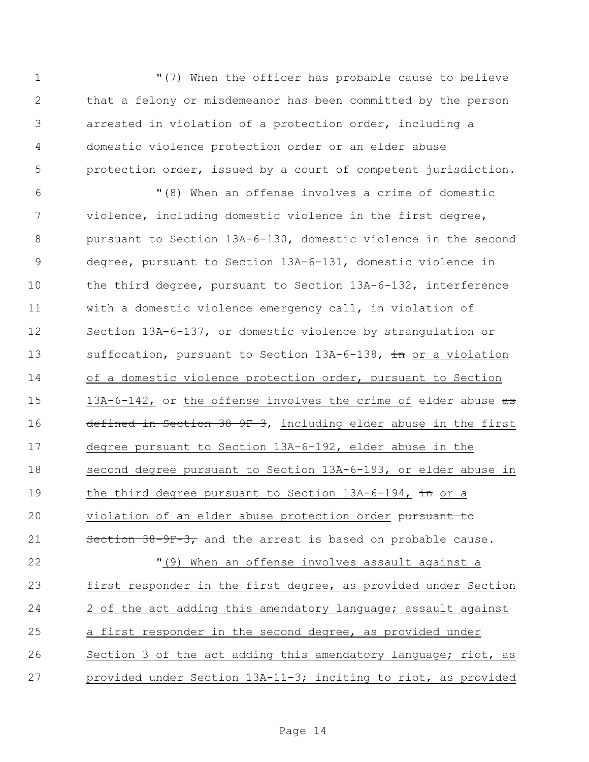"(7) When the officer has probable cause to believe that a felony or misdemeanor has been committed by the person arrested in violation of a protection order, including a domestic violence protection order or an elder abuse protection order, issued by a court of competent jurisdiction.

 "(8) When an offense involves a crime of domestic violence, including domestic violence in the first degree, pursuant to Section 13A-6-130, domestic violence in the second degree, pursuant to Section 13A-6-131, domestic violence in the third degree, pursuant to Section 13A-6-132, interference with a domestic violence emergency call, in violation of Section 13A-6-137, or domestic violence by strangulation or 13 suffocation, pursuant to Section 13A-6-138, in or a violation of a domestic violence protection order, pursuant to Section 15 13A-6-142, or the offense involves the crime of elder abuse  $\frac{1}{3}$  defined in Section 38-9F-3, including elder abuse in the first degree pursuant to Section 13A-6-192, elder abuse in the second degree pursuant to Section 13A-6-193, or elder abuse in 19 the third degree pursuant to Section 13A-6-194, in or a 20 violation of an elder abuse protection order pursuant to 21 Section 38-9F-3, and the arrest is based on probable cause. "(9) When an offense involves assault against a

 first responder in the first degree, as provided under Section 2 of the act adding this amendatory language; assault against a first responder in the second degree, as provided under Section 3 of the act adding this amendatory language; riot, as provided under Section 13A-11-3; inciting to riot, as provided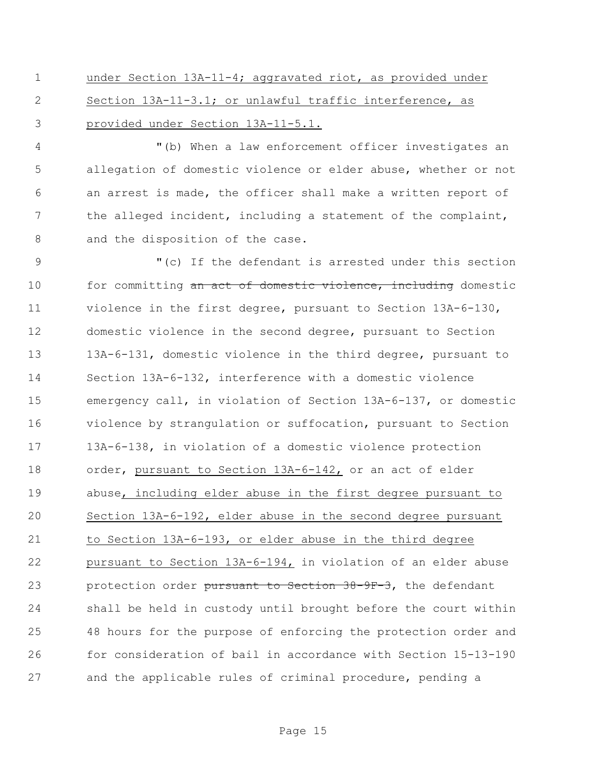under Section 13A-11-4; aggravated riot, as provided under Section 13A-11-3.1; or unlawful traffic interference, as provided under Section 13A-11-5.1.

 "(b) When a law enforcement officer investigates an allegation of domestic violence or elder abuse, whether or not an arrest is made, the officer shall make a written report of the alleged incident, including a statement of the complaint, 8 and the disposition of the case.

 "(c) If the defendant is arrested under this section 10 for committing an act of domestic violence, including domestic violence in the first degree, pursuant to Section 13A-6-130, domestic violence in the second degree, pursuant to Section 13A-6-131, domestic violence in the third degree, pursuant to Section 13A-6-132, interference with a domestic violence emergency call, in violation of Section 13A-6-137, or domestic violence by strangulation or suffocation, pursuant to Section 13A-6-138, in violation of a domestic violence protection order, pursuant to Section 13A-6-142, or an act of elder abuse, including elder abuse in the first degree pursuant to Section 13A-6-192, elder abuse in the second degree pursuant to Section 13A-6-193, or elder abuse in the third degree pursuant to Section 13A-6-194, in violation of an elder abuse 23 protection order pursuant to Section 38-9F-3, the defendant shall be held in custody until brought before the court within 48 hours for the purpose of enforcing the protection order and for consideration of bail in accordance with Section 15-13-190 and the applicable rules of criminal procedure, pending a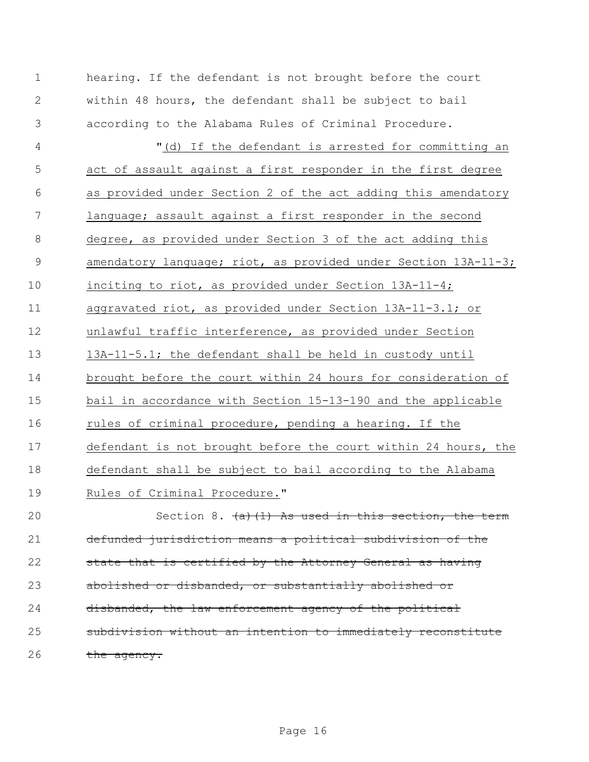hearing. If the defendant is not brought before the court within 48 hours, the defendant shall be subject to bail according to the Alabama Rules of Criminal Procedure. "(d) If the defendant is arrested for committing an act of assault against a first responder in the first degree as provided under Section 2 of the act adding this amendatory language; assault against a first responder in the second degree, as provided under Section 3 of the act adding this 9 amendatory language; riot, as provided under Section 13A-11-3; inciting to riot, as provided under Section 13A-11-4; aggravated riot, as provided under Section 13A-11-3.1; or unlawful traffic interference, as provided under Section 13A-11-5.1; the defendant shall be held in custody until brought before the court within 24 hours for consideration of bail in accordance with Section 15-13-190 and the applicable rules of criminal procedure, pending a hearing. If the defendant is not brought before the court within 24 hours, the defendant shall be subject to bail according to the Alabama Rules of Criminal Procedure." 20 Section 8. (a)(1) As used in this section, the term defunded jurisdiction means a political subdivision of the 22 state that is certified by the Attorney General as having 23 abolished or disbanded, or substantially abolished or

24 disbanded, the law enforcement agency of the political

 subdivision without an intention to immediately reconstitute 26 the agency.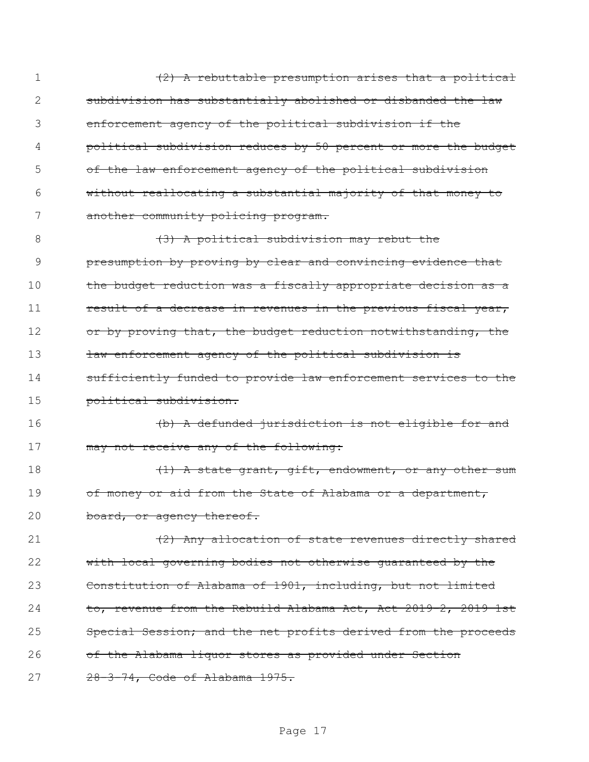| 1  | (2) A rebuttable presumption arises that a political           |
|----|----------------------------------------------------------------|
| 2  | subdivision has substantially abolished or disbanded the law   |
| 3  | enforcement agency of the political subdivision if the         |
| 4  | political subdivision reduces by 50 percent or more the budget |
| 5  | of the law enforcement agency of the political subdivision     |
| 6  | without reallocating a substantial majority of that money to   |
| 7  | another community policing program.                            |
| 8  | (3) A political subdivision may rebut the                      |
| 9  | presumption by proving by clear and convincing evidence that   |
| 10 | the budget reduction was a fiscally appropriate decision as a  |
| 11 | result of a decrease in revenues in the previous fiscal year,  |
| 12 | or by proving that, the budget reduction notwithstanding, the  |
| 13 | law enforcement agency of the political subdivision is         |
| 14 | sufficiently funded to provide law enforcement services to the |
| 15 | political subdivision.                                         |
| 16 | (b) A defunded jurisdiction is not eligible for and            |
| 17 | may not receive any of the following:                          |
| 18 | (1) A state grant, gift, endowment, or any other sum           |
| 19 | of money or aid from the State of Alabama or a department,     |
| 20 | board, or agency thereof.                                      |
| 21 | (2) Any allocation of state revenues directly shared           |
| 22 | with local governing bodies not otherwise quaranteed by the    |
| 23 | Constitution of Alabama of 1901, including, but not limited    |
| 24 | to, revenue from the Rebuild Alabama Act, Act 2019-2, 2019 1st |
| 25 | Special Session; and the net profits derived from the proceeds |
| 26 | of the Alabama liquor stores as provided under Section         |
| 27 | 28-3-74, Code of Alabama 1975.                                 |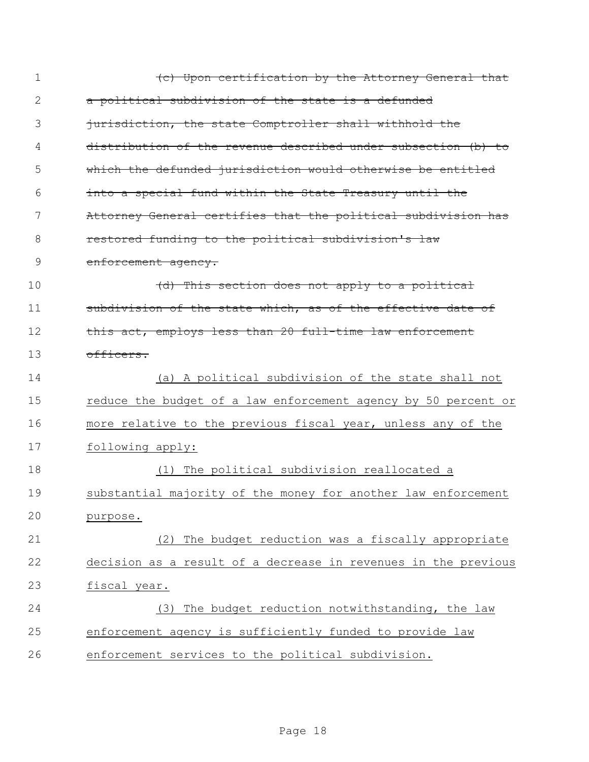| $\mathbf 1$ | (c) Upon certification by the Attorney General that            |
|-------------|----------------------------------------------------------------|
| 2           | a political subdivision of the state is a defunded             |
| 3           | jurisdiction, the state Comptroller shall withhold the         |
| 4           | distribution of the revenue described under subsection (b) to  |
| 5           | which the defunded jurisdiction would otherwise be entitled    |
| 6           | into a special fund within the State Treasury until the        |
| 7           | Attorney General certifies that the political subdivision has  |
| 8           | restored funding to the political subdivision's law            |
| 9           | enforcement agency.                                            |
| 10          | (d) This section does not apply to a political                 |
| 11          | subdivision of the state which, as of the effective date of    |
| 12          | this act, employs less than 20 full-time law enforcement       |
| 13          | officers.                                                      |
|             |                                                                |
| 14          | (a) A political subdivision of the state shall not             |
| 15          | reduce the budget of a law enforcement agency by 50 percent or |
| 16          | more relative to the previous fiscal year, unless any of the   |
| 17          | following apply:                                               |
| 18          | (1) The political subdivision reallocated a                    |
| 19          | substantial majority of the money for another law enforcement  |
| 20          | purpose.                                                       |
| 21          | The budget reduction was a fiscally appropriate<br>(2)         |
| 22          | decision as a result of a decrease in revenues in the previous |
| 23          | fiscal year.                                                   |
| 24          | The budget reduction notwithstanding, the law<br>(3)           |
| 25          | enforcement agency is sufficiently funded to provide law       |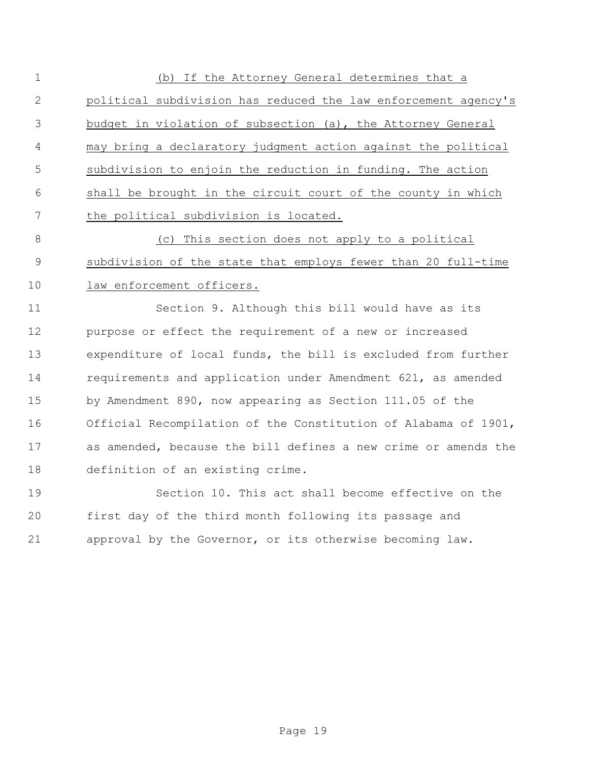(b) If the Attorney General determines that a political subdivision has reduced the law enforcement agency's budget in violation of subsection (a), the Attorney General may bring a declaratory judgment action against the political subdivision to enjoin the reduction in funding. The action shall be brought in the circuit court of the county in which the political subdivision is located.

 (c) This section does not apply to a political subdivision of the state that employs fewer than 20 full-time law enforcement officers.

 Section 9. Although this bill would have as its purpose or effect the requirement of a new or increased expenditure of local funds, the bill is excluded from further requirements and application under Amendment 621, as amended by Amendment 890, now appearing as Section 111.05 of the Official Recompilation of the Constitution of Alabama of 1901, as amended, because the bill defines a new crime or amends the definition of an existing crime.

 Section 10. This act shall become effective on the first day of the third month following its passage and approval by the Governor, or its otherwise becoming law.